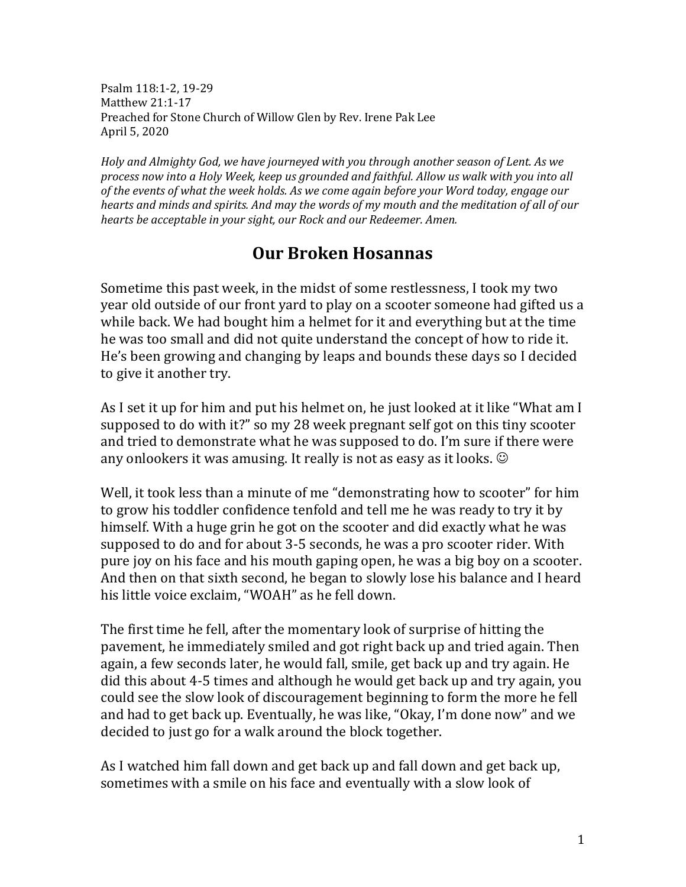Psalm 118:1-2, 19-29 Matthew 21:1-17 Preached for Stone Church of Willow Glen by Rev. Irene Pak Lee April 5, 2020

*Holy and Almighty God, we have journeyed with you through another season of Lent. As we process now into a Holy Week, keep us grounded and faithful. Allow us walk with you into all of the events of what the week holds. As we come again before your Word today, engage our hearts and minds and spirits. And may the words of my mouth and the meditation of all of our hearts be acceptable in your sight, our Rock and our Redeemer. Amen.*

## **Our Broken Hosannas**

Sometime this past week, in the midst of some restlessness, I took my two year old outside of our front yard to play on a scooter someone had gifted us a while back. We had bought him a helmet for it and everything but at the time he was too small and did not quite understand the concept of how to ride it. He's been growing and changing by leaps and bounds these days so I decided to give it another try.

As I set it up for him and put his helmet on, he just looked at it like "What am I supposed to do with it?" so my 28 week pregnant self got on this tiny scooter and tried to demonstrate what he was supposed to do. I'm sure if there were any onlookers it was amusing. It really is not as easy as it looks.  $\odot$ 

Well, it took less than a minute of me "demonstrating how to scooter" for him to grow his toddler confidence tenfold and tell me he was ready to try it by himself. With a huge grin he got on the scooter and did exactly what he was supposed to do and for about 3-5 seconds, he was a pro scooter rider. With pure joy on his face and his mouth gaping open, he was a big boy on a scooter. And then on that sixth second, he began to slowly lose his balance and I heard his little voice exclaim, "WOAH" as he fell down.

The first time he fell, after the momentary look of surprise of hitting the pavement, he immediately smiled and got right back up and tried again. Then again, a few seconds later, he would fall, smile, get back up and try again. He did this about 4-5 times and although he would get back up and try again, you could see the slow look of discouragement beginning to form the more he fell and had to get back up. Eventually, he was like, "Okay, I'm done now" and we decided to just go for a walk around the block together.

As I watched him fall down and get back up and fall down and get back up, sometimes with a smile on his face and eventually with a slow look of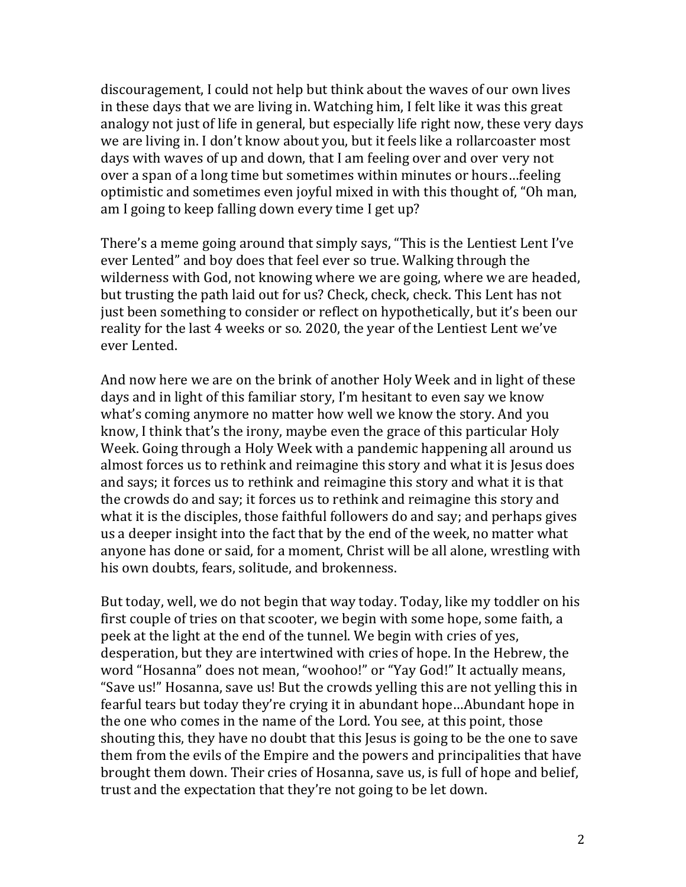discouragement, I could not help but think about the waves of our own lives in these days that we are living in. Watching him, I felt like it was this great analogy not just of life in general, but especially life right now, these very days we are living in. I don't know about you, but it feels like a rollarcoaster most days with waves of up and down, that I am feeling over and over very not over a span of a long time but sometimes within minutes or hours…feeling optimistic and sometimes even joyful mixed in with this thought of, "Oh man, am I going to keep falling down every time I get up?

There's a meme going around that simply says, "This is the Lentiest Lent I've ever Lented" and boy does that feel ever so true. Walking through the wilderness with God, not knowing where we are going, where we are headed, but trusting the path laid out for us? Check, check, check. This Lent has not just been something to consider or reflect on hypothetically, but it's been our reality for the last 4 weeks or so. 2020, the year of the Lentiest Lent we've ever Lented.

And now here we are on the brink of another Holy Week and in light of these days and in light of this familiar story, I'm hesitant to even say we know what's coming anymore no matter how well we know the story. And you know, I think that's the irony, maybe even the grace of this particular Holy Week. Going through a Holy Week with a pandemic happening all around us almost forces us to rethink and reimagine this story and what it is Jesus does and says; it forces us to rethink and reimagine this story and what it is that the crowds do and say; it forces us to rethink and reimagine this story and what it is the disciples, those faithful followers do and say; and perhaps gives us a deeper insight into the fact that by the end of the week, no matter what anyone has done or said, for a moment, Christ will be all alone, wrestling with his own doubts, fears, solitude, and brokenness.

But today, well, we do not begin that way today. Today, like my toddler on his first couple of tries on that scooter, we begin with some hope, some faith, a peek at the light at the end of the tunnel. We begin with cries of yes, desperation, but they are intertwined with cries of hope. In the Hebrew, the word "Hosanna" does not mean, "woohoo!" or "Yay God!" It actually means, "Save us!" Hosanna, save us! But the crowds yelling this are not yelling this in fearful tears but today they're crying it in abundant hope…Abundant hope in the one who comes in the name of the Lord. You see, at this point, those shouting this, they have no doubt that this Jesus is going to be the one to save them from the evils of the Empire and the powers and principalities that have brought them down. Their cries of Hosanna, save us, is full of hope and belief, trust and the expectation that they're not going to be let down.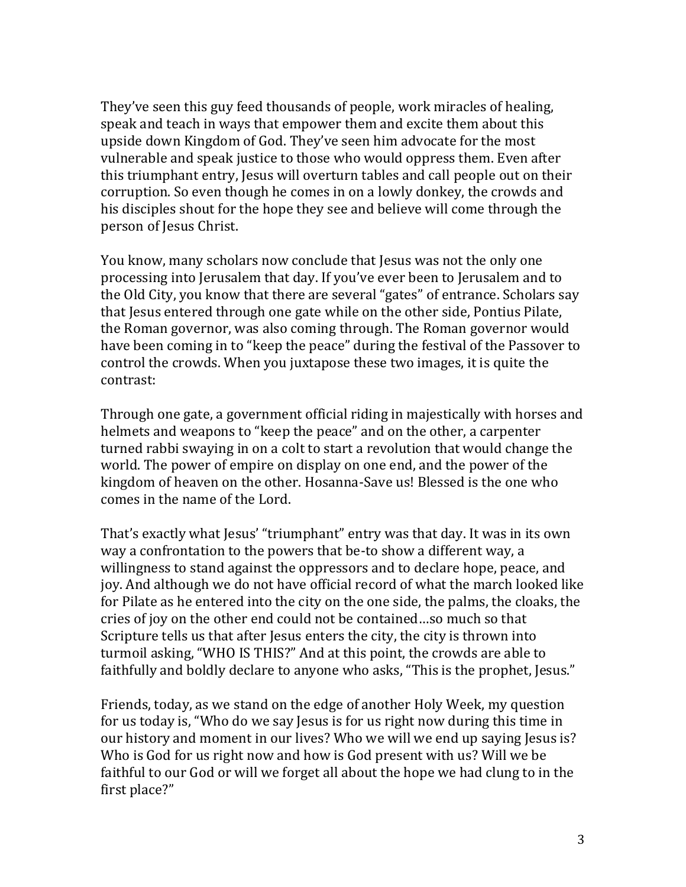They've seen this guy feed thousands of people, work miracles of healing, speak and teach in ways that empower them and excite them about this upside down Kingdom of God. They've seen him advocate for the most vulnerable and speak justice to those who would oppress them. Even after this triumphant entry, Jesus will overturn tables and call people out on their corruption. So even though he comes in on a lowly donkey, the crowds and his disciples shout for the hope they see and believe will come through the person of Jesus Christ.

You know, many scholars now conclude that Jesus was not the only one processing into Jerusalem that day. If you've ever been to Jerusalem and to the Old City, you know that there are several "gates" of entrance. Scholars say that Jesus entered through one gate while on the other side, Pontius Pilate, the Roman governor, was also coming through. The Roman governor would have been coming in to "keep the peace" during the festival of the Passover to control the crowds. When you juxtapose these two images, it is quite the contrast:

Through one gate, a government official riding in majestically with horses and helmets and weapons to "keep the peace" and on the other, a carpenter turned rabbi swaying in on a colt to start a revolution that would change the world. The power of empire on display on one end, and the power of the kingdom of heaven on the other. Hosanna-Save us! Blessed is the one who comes in the name of the Lord.

That's exactly what Jesus' "triumphant" entry was that day. It was in its own way a confrontation to the powers that be-to show a different way, a willingness to stand against the oppressors and to declare hope, peace, and joy. And although we do not have official record of what the march looked like for Pilate as he entered into the city on the one side, the palms, the cloaks, the cries of joy on the other end could not be contained…so much so that Scripture tells us that after Jesus enters the city, the city is thrown into turmoil asking, "WHO IS THIS?" And at this point, the crowds are able to faithfully and boldly declare to anyone who asks, "This is the prophet, Jesus."

Friends, today, as we stand on the edge of another Holy Week, my question for us today is, "Who do we say Jesus is for us right now during this time in our history and moment in our lives? Who we will we end up saying Jesus is? Who is God for us right now and how is God present with us? Will we be faithful to our God or will we forget all about the hope we had clung to in the first place?"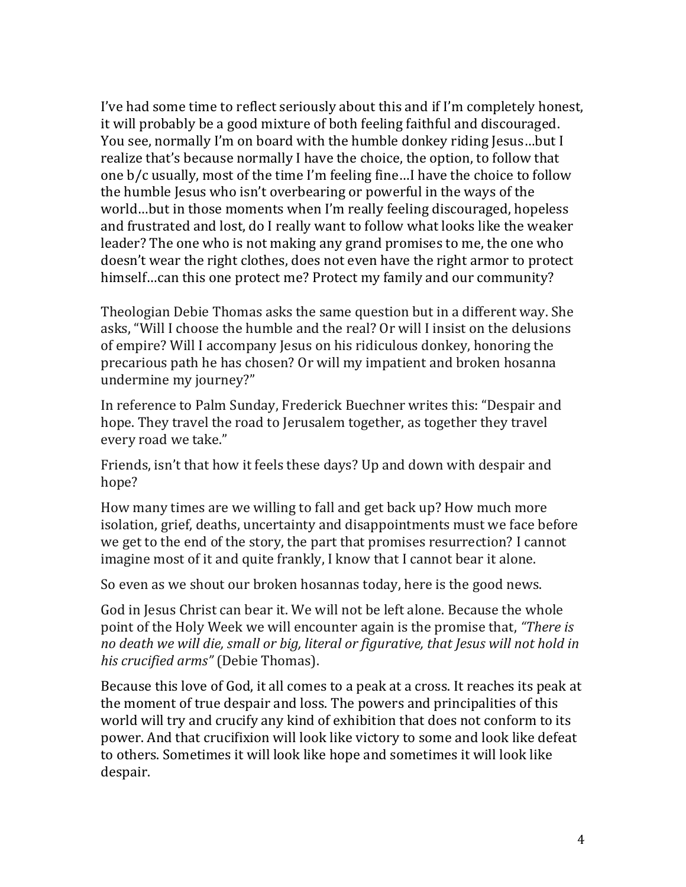I've had some time to reflect seriously about this and if I'm completely honest, it will probably be a good mixture of both feeling faithful and discouraged. You see, normally I'm on board with the humble donkey riding Jesus…but I realize that's because normally I have the choice, the option, to follow that one b/c usually, most of the time I'm feeling fine…I have the choice to follow the humble Jesus who isn't overbearing or powerful in the ways of the world…but in those moments when I'm really feeling discouraged, hopeless and frustrated and lost, do I really want to follow what looks like the weaker leader? The one who is not making any grand promises to me, the one who doesn't wear the right clothes, does not even have the right armor to protect himself…can this one protect me? Protect my family and our community?

Theologian Debie Thomas asks the same question but in a different way. She asks, "Will I choose the humble and the real? Or will I insist on the delusions of empire? Will I accompany Jesus on his ridiculous donkey, honoring the precarious path he has chosen? Or will my impatient and broken hosanna undermine my journey?"

In reference to Palm Sunday, Frederick Buechner writes this: "Despair and hope. They travel the road to Jerusalem together, as together they travel every road we take."

Friends, isn't that how it feels these days? Up and down with despair and hope?

How many times are we willing to fall and get back up? How much more isolation, grief, deaths, uncertainty and disappointments must we face before we get to the end of the story, the part that promises resurrection? I cannot imagine most of it and quite frankly, I know that I cannot bear it alone.

So even as we shout our broken hosannas today, here is the good news.

God in Jesus Christ can bear it. We will not be left alone. Because the whole point of the Holy Week we will encounter again is the promise that, *"There is no death we will die, small or big, literal or figurative, that Jesus will not hold in his crucified arms"* (Debie Thomas).

Because this love of God, it all comes to a peak at a cross. It reaches its peak at the moment of true despair and loss. The powers and principalities of this world will try and crucify any kind of exhibition that does not conform to its power. And that crucifixion will look like victory to some and look like defeat to others. Sometimes it will look like hope and sometimes it will look like despair.